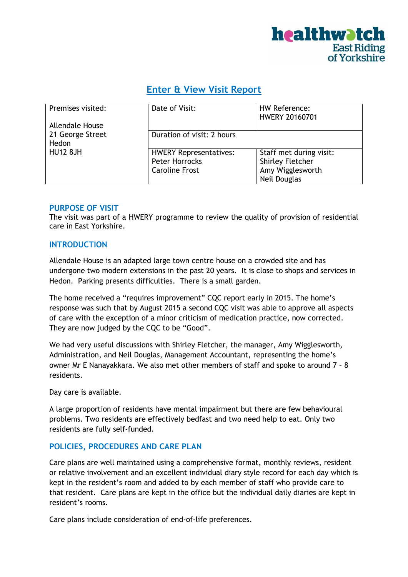

# **Enter & View Visit Report**

| Premises visited:      | Date of Visit:                | HW Reference:<br><b>HWERY 20160701</b> |  |
|------------------------|-------------------------------|----------------------------------------|--|
| <b>Allendale House</b> |                               |                                        |  |
| 21 George Street       | Duration of visit: 2 hours    |                                        |  |
| Hedon                  |                               |                                        |  |
| <b>HU12 8JH</b>        | <b>HWERY Representatives:</b> | Staff met during visit:                |  |
|                        | Peter Horrocks                | <b>Shirley Fletcher</b>                |  |
|                        | <b>Caroline Frost</b>         | Amy Wigglesworth                       |  |
|                        |                               | Neil Douglas                           |  |

#### **PURPOSE OF VISIT**

The visit was part of a HWERY programme to review the quality of provision of residential care in East Yorkshire.

## **INTRODUCTION**

Allendale House is an adapted large town centre house on a crowded site and has undergone two modern extensions in the past 20 years. It is close to shops and services in Hedon. Parking presents difficulties. There is a small garden.

The home received a "requires improvement" CQC report early in 2015. The home's response was such that by August 2015 a second CQC visit was able to approve all aspects of care with the exception of a minor criticism of medication practice, now corrected. They are now judged by the CQC to be "Good".

We had very useful discussions with Shirley Fletcher, the manager, Amy Wigglesworth, Administration, and Neil Douglas, Management Accountant, representing the home's owner Mr E Nanayakkara. We also met other members of staff and spoke to around 7 – 8 residents.

Day care is available.

A large proportion of residents have mental impairment but there are few behavioural problems. Two residents are effectively bedfast and two need help to eat. Only two residents are fully self-funded.

## **POLICIES, PROCEDURES AND CARE PLAN**

Care plans are well maintained using a comprehensive format, monthly reviews, resident or relative involvement and an excellent individual diary style record for each day which is kept in the resident's room and added to by each member of staff who provide care to that resident. Care plans are kept in the office but the individual daily diaries are kept in resident's rooms.

Care plans include consideration of end-of-life preferences.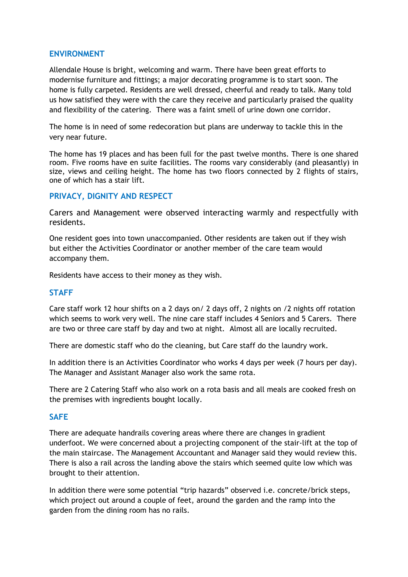## **ENVIRONMENT**

Allendale House is bright, welcoming and warm. There have been great efforts to modernise furniture and fittings; a major decorating programme is to start soon. The home is fully carpeted. Residents are well dressed, cheerful and ready to talk. Many told us how satisfied they were with the care they receive and particularly praised the quality and flexibility of the catering. There was a faint smell of urine down one corridor.

The home is in need of some redecoration but plans are underway to tackle this in the very near future.

The home has 19 places and has been full for the past twelve months. There is one shared room. Five rooms have en suite facilities. The rooms vary considerably (and pleasantly) in size, views and ceiling height. The home has two floors connected by 2 flights of stairs, one of which has a stair lift.

#### **PRIVACY, DIGNITY AND RESPECT**

Carers and Management were observed interacting warmly and respectfully with residents.

One resident goes into town unaccompanied. Other residents are taken out if they wish but either the Activities Coordinator or another member of the care team would accompany them.

Residents have access to their money as they wish.

#### **STAFF**

Care staff work 12 hour shifts on a 2 days on/ 2 days off, 2 nights on /2 nights off rotation which seems to work very well. The nine care staff includes 4 Seniors and 5 Carers. There are two or three care staff by day and two at night. Almost all are locally recruited.

There are domestic staff who do the cleaning, but Care staff do the laundry work.

In addition there is an Activities Coordinator who works 4 days per week (7 hours per day). The Manager and Assistant Manager also work the same rota.

There are 2 Catering Staff who also work on a rota basis and all meals are cooked fresh on the premises with ingredients bought locally.

#### **SAFE**

There are adequate handrails covering areas where there are changes in gradient underfoot. We were concerned about a projecting component of the stair-lift at the top of the main staircase. The Management Accountant and Manager said they would review this. There is also a rail across the landing above the stairs which seemed quite low which was brought to their attention.

In addition there were some potential "trip hazards" observed i.e. concrete/brick steps, which project out around a couple of feet, around the garden and the ramp into the garden from the dining room has no rails.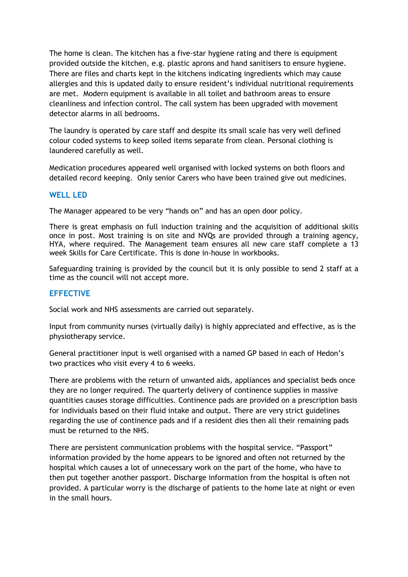The home is clean. The kitchen has a five-star hygiene rating and there is equipment provided outside the kitchen, e.g. plastic aprons and hand sanitisers to ensure hygiene. There are files and charts kept in the kitchens indicating ingredients which may cause allergies and this is updated daily to ensure resident's individual nutritional requirements are met. Modern equipment is available in all toilet and bathroom areas to ensure cleanliness and infection control. The call system has been upgraded with movement detector alarms in all bedrooms.

The laundry is operated by care staff and despite its small scale has very well defined colour coded systems to keep soiled items separate from clean. Personal clothing is laundered carefully as well.

Medication procedures appeared well organised with locked systems on both floors and detailed record keeping. Only senior Carers who have been trained give out medicines.

## **WELL LED**

The Manager appeared to be very "hands on" and has an open door policy.

There is great emphasis on full induction training and the acquisition of additional skills once in post. Most training is on site and NVQs are provided through a training agency, HYA, where required. The Management team ensures all new care staff complete a 13 week Skills for Care Certificate. This is done in-house in workbooks.

Safeguarding training is provided by the council but it is only possible to send 2 staff at a time as the council will not accept more.

## **EFFECTIVE**

Social work and NHS assessments are carried out separately.

Input from community nurses (virtually daily) is highly appreciated and effective, as is the physiotherapy service.

General practitioner input is well organised with a named GP based in each of Hedon's two practices who visit every 4 to 6 weeks.

There are problems with the return of unwanted aids, appliances and specialist beds once they are no longer required. The quarterly delivery of continence supplies in massive quantities causes storage difficulties. Continence pads are provided on a prescription basis for individuals based on their fluid intake and output. There are very strict guidelines regarding the use of continence pads and if a resident dies then all their remaining pads must be returned to the NHS.

There are persistent communication problems with the hospital service. "Passport" information provided by the home appears to be ignored and often not returned by the hospital which causes a lot of unnecessary work on the part of the home, who have to then put together another passport. Discharge information from the hospital is often not provided. A particular worry is the discharge of patients to the home late at night or even in the small hours.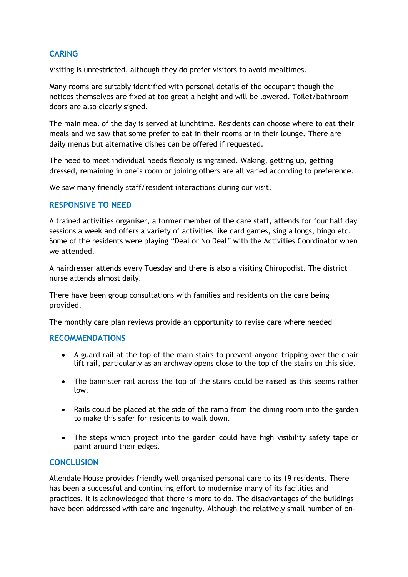## **CARING**

Visiting is unrestricted, although they do prefer visitors to avoid mealtimes.

Many rooms are suitably identified with personal details of the occupant though the notices themselves are fixed at too great a height and will be lowered. Toilet/bathroom doors are also clearly signed.

The main meal of the day is served at lunchtime. Residents can choose where to eat their meals and we saw that some prefer to eat in their rooms or in their lounge. There are daily menus but alternative dishes can be offered if requested.

The need to meet individual needs flexibly is ingrained. Waking, getting up, getting dressed, remaining in one's room or joining others are all varied according to preference.

We saw many friendly staff/resident interactions during our visit.

## **RESPONSIVE TO NEED**

A trained activities organiser, a former member of the care staff, attends for four half day sessions a week and offers a variety of activities like card games, sing a longs, bingo etc. Some of the residents were playing "Deal or No Deal" with the Activities Coordinator when we attended.

A hairdresser attends every Tuesday and there is also a visiting Chiropodist. The district nurse attends almost daily.

There have been group consultations with families and residents on the care being provided.

The monthly care plan reviews provide an opportunity to revise care where needed

## **RECOMMENDATIONS**

- A guard rail at the top of the main stairs to prevent anyone tripping over the chair lift rail, particularly as an archway opens close to the top of the stairs on this side.
- The bannister rail across the top of the stairs could be raised as this seems rather low.
- Rails could be placed at the side of the ramp from the dining room into the garden to make this safer for residents to walk down.
- The steps which project into the garden could have high visibility safety tape or paint around their edges.

## **CONCLUSION**

Allendale House provides friendly well organised personal care to its 19 residents. There has been a successful and continuing effort to modernise many of its facilities and practices. It is acknowledged that there is more to do. The disadvantages of the buildings have been addressed with care and ingenuity. Although the relatively small number of en